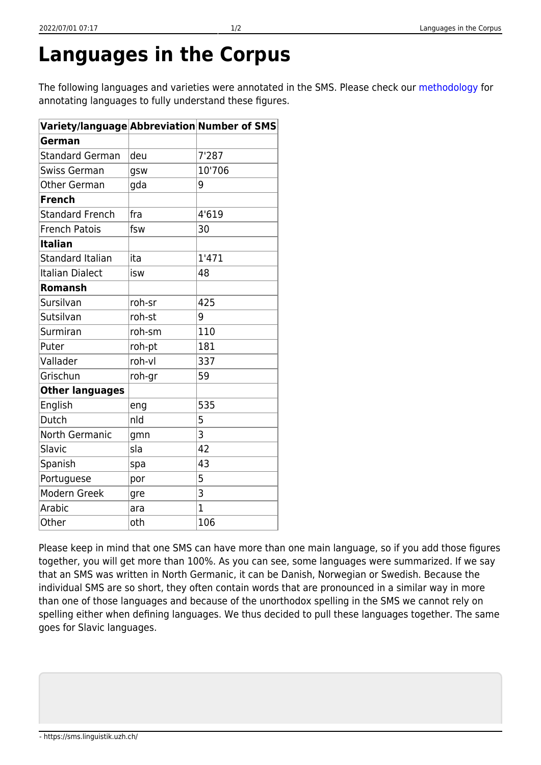## **Languages in the Corpus**

The following languages and varieties were annotated in the SMS. Please check our [methodology](https://sms.linguistik.uzh.ch/03_processing/03_languages) for annotating languages to fully understand these figures.

| $\sf Variety/language Abbreviation Number of SMS$ |        |                |
|---------------------------------------------------|--------|----------------|
| German                                            |        |                |
| <b>Standard German</b>                            | deu    | 7'287          |
| <b>Swiss German</b>                               | gsw    | 10'706         |
| <b>Other German</b>                               | gda    | 9              |
| <b>French</b>                                     |        |                |
| <b>Standard French</b>                            | fra    | 4'619          |
| <b>French Patois</b>                              | fsw    | 30             |
| <b>Italian</b>                                    |        |                |
| <b>Standard Italian</b>                           | ita    | 1'471          |
| <b>Italian Dialect</b>                            | isw    | 48             |
| Romansh                                           |        |                |
| Sursilvan                                         | roh-sr | 425            |
| Sutsilvan                                         | roh-st | 9              |
| Surmiran                                          | roh-sm | 110            |
| Puter                                             | roh-pt | 181            |
| Vallader                                          | roh-vl | 337            |
| Grischun                                          | roh-gr | 59             |
| <b>Other languages</b>                            |        |                |
| English                                           | eng    | 535            |
| Dutch                                             | nld    | 5              |
| <b>North Germanic</b>                             | gmn    | 3              |
| Slavic                                            | sla    | 42             |
| Spanish                                           | spa    | 43             |
| Portuguese                                        | por    | 5              |
| Modern Greek                                      | gre    | 3              |
| Arabic                                            | ara    | $\overline{1}$ |
| Other                                             | oth    | 106            |

Please keep in mind that one SMS can have more than one main language, so if you add those figures together, you will get more than 100%. As you can see, some languages were summarized. If we say that an SMS was written in North Germanic, it can be Danish, Norwegian or Swedish. Because the individual SMS are so short, they often contain words that are pronounced in a similar way in more than one of those languages and because of the unorthodox spelling in the SMS we cannot rely on spelling either when defining languages. We thus decided to pull these languages together. The same goes for Slavic languages.